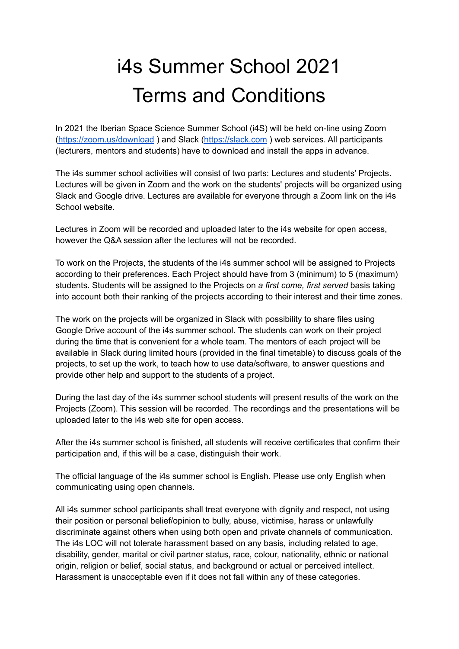## i4s Summer School 2021 Terms and Conditions

In 2021 the Iberian Space Science Summer School (i4S) will be held on-line using Zoom (<https://zoom.us/download> ) and Slack [\(https://slack.com](https://slack.com) ) web services. All participants (lecturers, mentors and students) have to download and install the apps in advance.

The i4s summer school activities will consist of two parts: Lectures and students' Projects. Lectures will be given in Zoom and the work on the students' projects will be organized using Slack and Google drive. Lectures are available for everyone through a Zoom link on the i4s School website.

Lectures in Zoom will be recorded and uploaded later to the i4s website for open access, however the Q&A session after the lectures will not be recorded.

To work on the Projects, the students of the i4s summer school will be assigned to Projects according to their preferences. Each Project should have from 3 (minimum) to 5 (maximum) students. Students will be assigned to the Projects on *a first come, first served* basis taking into account both their ranking of the projects according to their interest and their time zones.

The work on the projects will be organized in Slack with possibility to share files using Google Drive account of the i4s summer school. The students can work on their project during the time that is convenient for a whole team. The mentors of each project will be available in Slack during limited hours (provided in the final timetable) to discuss goals of the projects, to set up the work, to teach how to use data/software, to answer questions and provide other help and support to the students of a project.

During the last day of the i4s summer school students will present results of the work on the Projects (Zoom). This session will be recorded. The recordings and the presentations will be uploaded later to the i4s web site for open access.

After the i4s summer school is finished, all students will receive certificates that confirm their participation and, if this will be a case, distinguish their work.

The official language of the i4s summer school is English. Please use only English when communicating using open channels.

All i4s summer school participants shall treat everyone with dignity and respect, not using their position or personal belief/opinion to bully, abuse, victimise, harass or unlawfully discriminate against others when using both open and private channels of communication. The i4s LOC will not tolerate harassment based on any basis, including related to age, disability, gender, marital or civil partner status, race, colour, nationality, ethnic or national origin, religion or belief, social status, and background or actual or perceived intellect. Harassment is unacceptable even if it does not fall within any of these categories.